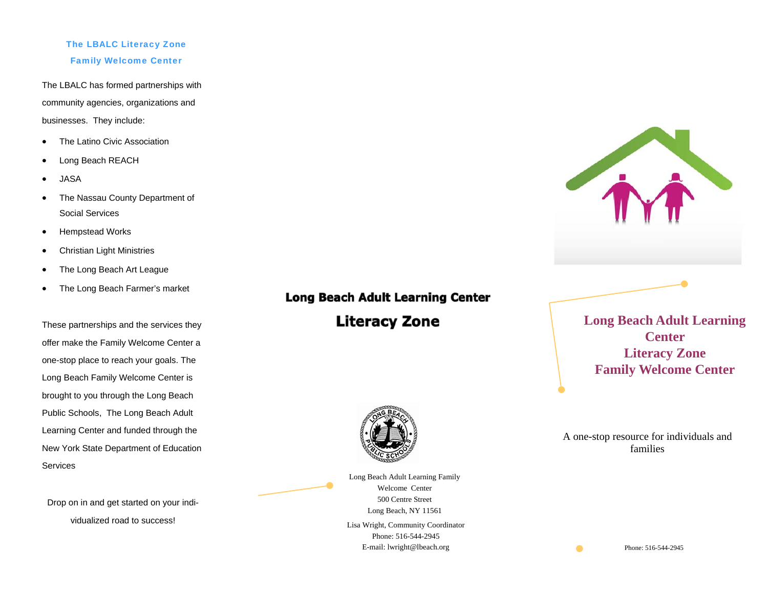### The LBALC Literacy Zone Family Welcome Center

The LBALC has formed partnerships with community agencies, organizations and businesses. They include:

- $\bullet$ The Latino Civic Association
- $\bullet$ Long Beach REACH
- $\bullet$ JASA
- $\bullet$  The Nassau County Department of Social Services
- $\bullet$ Hempstead Works
- $\bullet$ Christian Light Ministries
- $\bullet$ The Long Beach Art League
- $\bullet$ The Long Beach Farmer's market

These partnerships and the services they offer make the Family Welcome Center a one-stop place to reach your goals. The Long Beach Family Welcome Center is brought to you through the Long Beach Public Schools, The Long Beach Adult Learning Center and funded through the New York State Department of Education **Services** 

Drop on in and get started on your individualized road to success!

# **Long Beach Adult Learning Center Literacy Zone**



Lisa Wright, Community Coordinator Phone: 516-544-2945 E-mail: lwright@lbeach.org Long Beach Adult Learning Family Welcome Center 500 Centre Street Long Beach, NY 11561

**Long Beach Adult Learning Center Literacy Zone Family Welcome Center** 

A one-stop resource for individuals and families

Phone: 516-544-2945

 $\bullet$